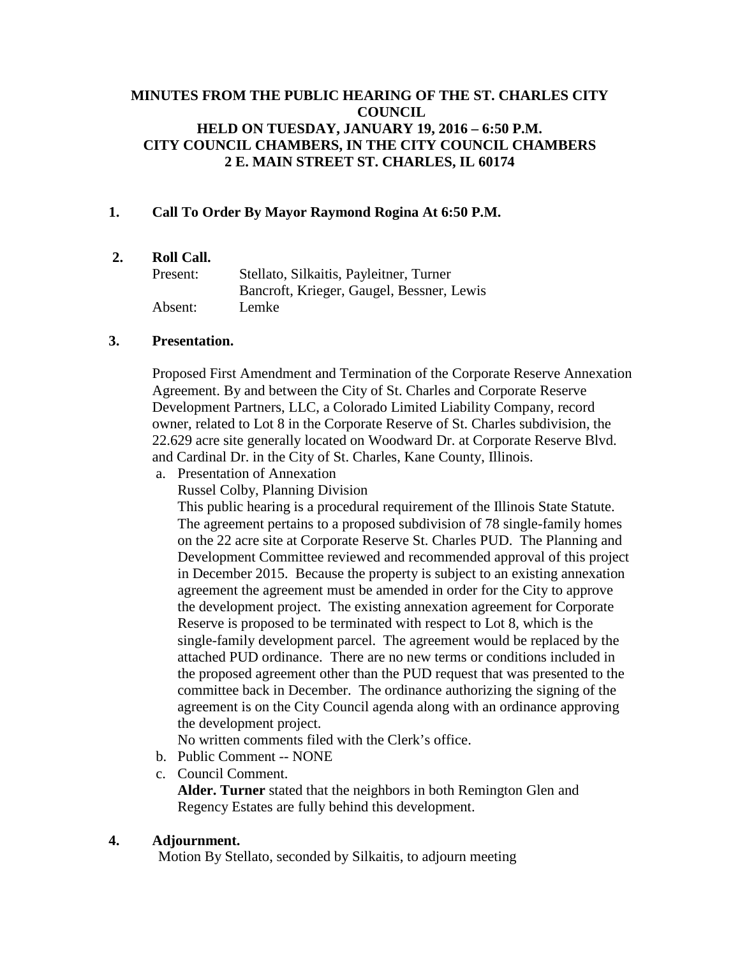# **MINUTES FROM THE PUBLIC HEARING OF THE ST. CHARLES CITY COUNCIL HELD ON TUESDAY, JANUARY 19, 2016 – 6:50 P.M. CITY COUNCIL CHAMBERS, IN THE CITY COUNCIL CHAMBERS 2 E. MAIN STREET ST. CHARLES, IL 60174**

## **1. Call To Order By Mayor Raymond Rogina At 6:50 P.M.**

## **2. Roll Call.**

| Present: | Stellato, Silkaitis, Payleitner, Turner   |
|----------|-------------------------------------------|
|          | Bancroft, Krieger, Gaugel, Bessner, Lewis |
| Absent:  | Lemke                                     |

### **3. Presentation.**

Proposed First Amendment and Termination of the Corporate Reserve Annexation Agreement. By and between the City of St. Charles and Corporate Reserve Development Partners, LLC, a Colorado Limited Liability Company, record owner, related to Lot 8 in the Corporate Reserve of St. Charles subdivision, the 22.629 acre site generally located on Woodward Dr. at Corporate Reserve Blvd. and Cardinal Dr. in the City of St. Charles, Kane County, Illinois.

- a. Presentation of Annexation
	- Russel Colby, Planning Division

This public hearing is a procedural requirement of the Illinois State Statute. The agreement pertains to a proposed subdivision of 78 single-family homes on the 22 acre site at Corporate Reserve St. Charles PUD. The Planning and Development Committee reviewed and recommended approval of this project in December 2015. Because the property is subject to an existing annexation agreement the agreement must be amended in order for the City to approve the development project. The existing annexation agreement for Corporate Reserve is proposed to be terminated with respect to Lot 8, which is the single-family development parcel. The agreement would be replaced by the attached PUD ordinance. There are no new terms or conditions included in the proposed agreement other than the PUD request that was presented to the committee back in December. The ordinance authorizing the signing of the agreement is on the City Council agenda along with an ordinance approving the development project.

No written comments filed with the Clerk's office.

- b. Public Comment -- NONE
- c. Council Comment. **Alder. Turner** stated that the neighbors in both Remington Glen and Regency Estates are fully behind this development.

### **4. Adjournment.**

Motion By Stellato, seconded by Silkaitis, to adjourn meeting